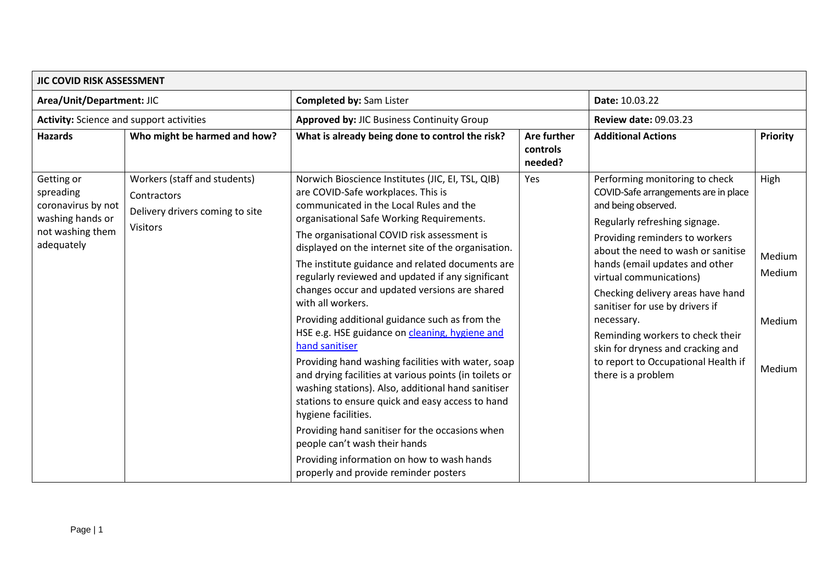| JIC COVID RISK ASSESSMENT                                                                           |                                                                                                   |                                                                                                                                                                                                                                                                                                                                                                                                                                                                                                                                                                                                                                                                                                                                                                                                                                                                                                                                                                                                                        |                                    |                                                                                                                                                                                                                                                                                                                                                                                                                                                                                                 |                                              |  |
|-----------------------------------------------------------------------------------------------------|---------------------------------------------------------------------------------------------------|------------------------------------------------------------------------------------------------------------------------------------------------------------------------------------------------------------------------------------------------------------------------------------------------------------------------------------------------------------------------------------------------------------------------------------------------------------------------------------------------------------------------------------------------------------------------------------------------------------------------------------------------------------------------------------------------------------------------------------------------------------------------------------------------------------------------------------------------------------------------------------------------------------------------------------------------------------------------------------------------------------------------|------------------------------------|-------------------------------------------------------------------------------------------------------------------------------------------------------------------------------------------------------------------------------------------------------------------------------------------------------------------------------------------------------------------------------------------------------------------------------------------------------------------------------------------------|----------------------------------------------|--|
| Area/Unit/Department: JIC                                                                           |                                                                                                   | <b>Completed by: Sam Lister</b>                                                                                                                                                                                                                                                                                                                                                                                                                                                                                                                                                                                                                                                                                                                                                                                                                                                                                                                                                                                        |                                    | Date: 10.03.22                                                                                                                                                                                                                                                                                                                                                                                                                                                                                  |                                              |  |
| <b>Activity:</b> Science and support activities                                                     |                                                                                                   | Approved by: JIC Business Continuity Group                                                                                                                                                                                                                                                                                                                                                                                                                                                                                                                                                                                                                                                                                                                                                                                                                                                                                                                                                                             |                                    | <b>Review date: 09.03.23</b>                                                                                                                                                                                                                                                                                                                                                                                                                                                                    |                                              |  |
| <b>Hazards</b>                                                                                      | Who might be harmed and how?                                                                      | What is already being done to control the risk?                                                                                                                                                                                                                                                                                                                                                                                                                                                                                                                                                                                                                                                                                                                                                                                                                                                                                                                                                                        | Are further<br>controls<br>needed? | <b>Additional Actions</b>                                                                                                                                                                                                                                                                                                                                                                                                                                                                       | Priority                                     |  |
| Getting or<br>spreading<br>coronavirus by not<br>washing hands or<br>not washing them<br>adequately | Workers (staff and students)<br>Contractors<br>Delivery drivers coming to site<br><b>Visitors</b> | Norwich Bioscience Institutes (JIC, EI, TSL, QIB)<br>are COVID-Safe workplaces. This is<br>communicated in the Local Rules and the<br>organisational Safe Working Requirements.<br>The organisational COVID risk assessment is<br>displayed on the internet site of the organisation.<br>The institute guidance and related documents are<br>regularly reviewed and updated if any significant<br>changes occur and updated versions are shared<br>with all workers.<br>Providing additional guidance such as from the<br>HSE e.g. HSE guidance on cleaning, hygiene and<br>hand sanitiser<br>Providing hand washing facilities with water, soap<br>and drying facilities at various points (in toilets or<br>washing stations). Also, additional hand sanitiser<br>stations to ensure quick and easy access to hand<br>hygiene facilities.<br>Providing hand sanitiser for the occasions when<br>people can't wash their hands<br>Providing information on how to wash hands<br>properly and provide reminder posters | Yes                                | Performing monitoring to check<br>COVID-Safe arrangements are in place<br>and being observed.<br>Regularly refreshing signage.<br>Providing reminders to workers<br>about the need to wash or sanitise<br>hands (email updates and other<br>virtual communications)<br>Checking delivery areas have hand<br>sanitiser for use by drivers if<br>necessary.<br>Reminding workers to check their<br>skin for dryness and cracking and<br>to report to Occupational Health if<br>there is a problem | High<br>Medium<br>Medium<br>Medium<br>Medium |  |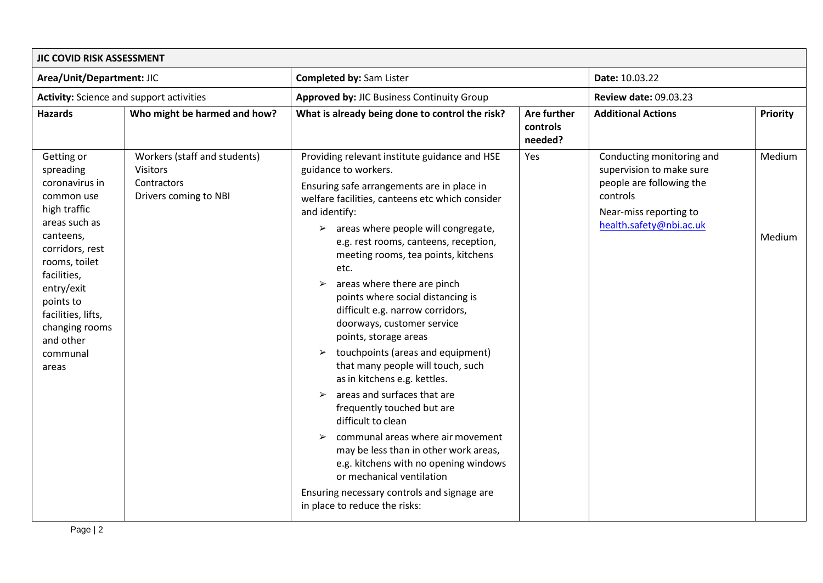| JIC COVID RISK ASSESSMENT                                                                                                                                                                                                                                     |                                                                                         |                                                                                                                                                                                                                                                                                                                                                                                                                                                                                                                                                                                                                                                                                                                                                                                                                                                                                                                                                                                                                                   |                                    |                                                                                                                                                    |                  |
|---------------------------------------------------------------------------------------------------------------------------------------------------------------------------------------------------------------------------------------------------------------|-----------------------------------------------------------------------------------------|-----------------------------------------------------------------------------------------------------------------------------------------------------------------------------------------------------------------------------------------------------------------------------------------------------------------------------------------------------------------------------------------------------------------------------------------------------------------------------------------------------------------------------------------------------------------------------------------------------------------------------------------------------------------------------------------------------------------------------------------------------------------------------------------------------------------------------------------------------------------------------------------------------------------------------------------------------------------------------------------------------------------------------------|------------------------------------|----------------------------------------------------------------------------------------------------------------------------------------------------|------------------|
| Area/Unit/Department: JIC                                                                                                                                                                                                                                     |                                                                                         | <b>Completed by: Sam Lister</b>                                                                                                                                                                                                                                                                                                                                                                                                                                                                                                                                                                                                                                                                                                                                                                                                                                                                                                                                                                                                   |                                    | Date: 10.03.22                                                                                                                                     |                  |
| <b>Activity:</b> Science and support activities                                                                                                                                                                                                               |                                                                                         | Approved by: JIC Business Continuity Group                                                                                                                                                                                                                                                                                                                                                                                                                                                                                                                                                                                                                                                                                                                                                                                                                                                                                                                                                                                        |                                    | <b>Review date: 09.03.23</b>                                                                                                                       |                  |
| <b>Hazards</b>                                                                                                                                                                                                                                                | Who might be harmed and how?                                                            | What is already being done to control the risk?                                                                                                                                                                                                                                                                                                                                                                                                                                                                                                                                                                                                                                                                                                                                                                                                                                                                                                                                                                                   | Are further<br>controls<br>needed? | <b>Additional Actions</b>                                                                                                                          | Priority         |
| Getting or<br>spreading<br>coronavirus in<br>common use<br>high traffic<br>areas such as<br>canteens,<br>corridors, rest<br>rooms, toilet<br>facilities,<br>entry/exit<br>points to<br>facilities, lifts,<br>changing rooms<br>and other<br>communal<br>areas | Workers (staff and students)<br><b>Visitors</b><br>Contractors<br>Drivers coming to NBI | Providing relevant institute guidance and HSE<br>guidance to workers.<br>Ensuring safe arrangements are in place in<br>welfare facilities, canteens etc which consider<br>and identify:<br>$\geq$ areas where people will congregate,<br>e.g. rest rooms, canteens, reception,<br>meeting rooms, tea points, kitchens<br>etc.<br>areas where there are pinch<br>$\blacktriangleright$<br>points where social distancing is<br>difficult e.g. narrow corridors,<br>doorways, customer service<br>points, storage areas<br>touchpoints (areas and equipment)<br>$\blacktriangleright$<br>that many people will touch, such<br>as in kitchens e.g. kettles.<br>areas and surfaces that are<br>$\blacktriangleright$<br>frequently touched but are<br>difficult to clean<br>communal areas where air movement<br>$\blacktriangleright$<br>may be less than in other work areas,<br>e.g. kitchens with no opening windows<br>or mechanical ventilation<br>Ensuring necessary controls and signage are<br>in place to reduce the risks: | Yes                                | Conducting monitoring and<br>supervision to make sure<br>people are following the<br>controls<br>Near-miss reporting to<br>health.safety@nbi.ac.uk | Medium<br>Medium |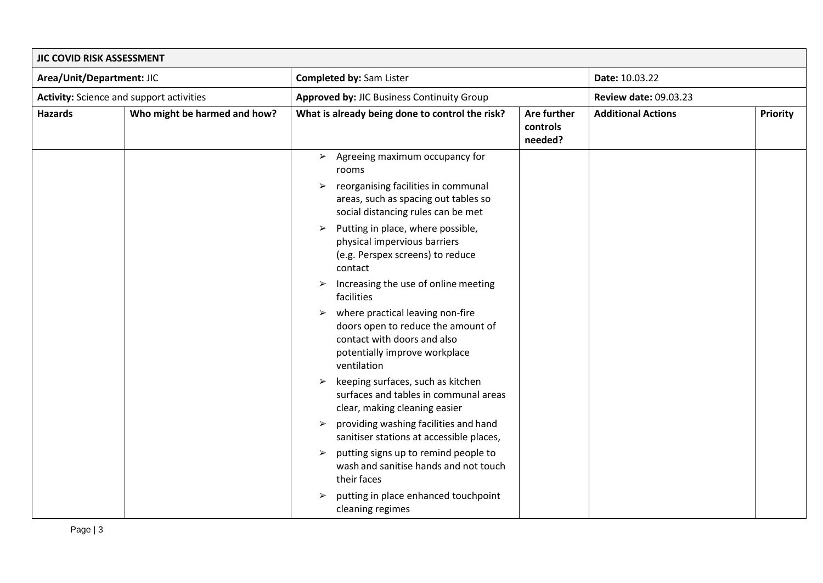| JIC COVID RISK ASSESSMENT                |                              |                                                                                                                                                                                |                                    |                              |          |
|------------------------------------------|------------------------------|--------------------------------------------------------------------------------------------------------------------------------------------------------------------------------|------------------------------------|------------------------------|----------|
| Area/Unit/Department: JIC                |                              | <b>Completed by: Sam Lister</b>                                                                                                                                                |                                    | Date: 10.03.22               |          |
| Activity: Science and support activities |                              | Approved by: JIC Business Continuity Group                                                                                                                                     |                                    | <b>Review date: 09.03.23</b> |          |
| <b>Hazards</b>                           | Who might be harmed and how? | What is already being done to control the risk?                                                                                                                                | Are further<br>controls<br>needed? | <b>Additional Actions</b>    | Priority |
|                                          |                              | $\triangleright$ Agreeing maximum occupancy for<br>rooms<br>reorganising facilities in communal<br>$\blacktriangleright$                                                       |                                    |                              |          |
|                                          |                              | areas, such as spacing out tables so<br>social distancing rules can be met                                                                                                     |                                    |                              |          |
|                                          |                              | Putting in place, where possible,<br>➤<br>physical impervious barriers<br>(e.g. Perspex screens) to reduce<br>contact                                                          |                                    |                              |          |
|                                          |                              | Increasing the use of online meeting<br>facilities                                                                                                                             |                                    |                              |          |
|                                          |                              | where practical leaving non-fire<br>$\blacktriangleright$<br>doors open to reduce the amount of<br>contact with doors and also<br>potentially improve workplace<br>ventilation |                                    |                              |          |
|                                          |                              | keeping surfaces, such as kitchen<br>$\blacktriangleright$<br>surfaces and tables in communal areas<br>clear, making cleaning easier                                           |                                    |                              |          |
|                                          |                              | providing washing facilities and hand<br>$\blacktriangleright$<br>sanitiser stations at accessible places,                                                                     |                                    |                              |          |
|                                          |                              | putting signs up to remind people to<br>➤<br>wash and sanitise hands and not touch<br>their faces                                                                              |                                    |                              |          |
|                                          |                              | putting in place enhanced touchpoint<br>$\blacktriangleright$<br>cleaning regimes                                                                                              |                                    |                              |          |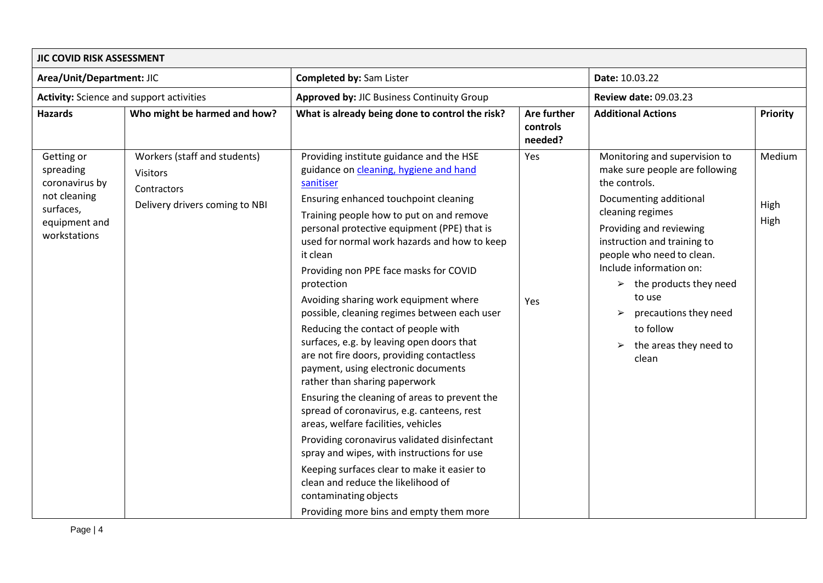| JIC COVID RISK ASSESSMENT                                                                               |                                                                                                  |                                                                                                                                                                                                                                                                                                                                                                                                                                                                                                                                                                                                                                                                                                                                                                                                                                                                                                                                                                                                                                                        |                                    |                                                                                                                                                                                                                                                                                                                                                                                                              |                        |  |
|---------------------------------------------------------------------------------------------------------|--------------------------------------------------------------------------------------------------|--------------------------------------------------------------------------------------------------------------------------------------------------------------------------------------------------------------------------------------------------------------------------------------------------------------------------------------------------------------------------------------------------------------------------------------------------------------------------------------------------------------------------------------------------------------------------------------------------------------------------------------------------------------------------------------------------------------------------------------------------------------------------------------------------------------------------------------------------------------------------------------------------------------------------------------------------------------------------------------------------------------------------------------------------------|------------------------------------|--------------------------------------------------------------------------------------------------------------------------------------------------------------------------------------------------------------------------------------------------------------------------------------------------------------------------------------------------------------------------------------------------------------|------------------------|--|
| Area/Unit/Department: JIC                                                                               |                                                                                                  | <b>Completed by: Sam Lister</b>                                                                                                                                                                                                                                                                                                                                                                                                                                                                                                                                                                                                                                                                                                                                                                                                                                                                                                                                                                                                                        |                                    | Date: 10.03.22                                                                                                                                                                                                                                                                                                                                                                                               |                        |  |
| <b>Activity:</b> Science and support activities                                                         |                                                                                                  | <b>Approved by: JIC Business Continuity Group</b>                                                                                                                                                                                                                                                                                                                                                                                                                                                                                                                                                                                                                                                                                                                                                                                                                                                                                                                                                                                                      |                                    | <b>Review date: 09.03.23</b>                                                                                                                                                                                                                                                                                                                                                                                 |                        |  |
| <b>Hazards</b>                                                                                          | Who might be harmed and how?                                                                     | What is already being done to control the risk?                                                                                                                                                                                                                                                                                                                                                                                                                                                                                                                                                                                                                                                                                                                                                                                                                                                                                                                                                                                                        | Are further<br>controls<br>needed? | <b>Additional Actions</b>                                                                                                                                                                                                                                                                                                                                                                                    | <b>Priority</b>        |  |
| Getting or<br>spreading<br>coronavirus by<br>not cleaning<br>surfaces,<br>equipment and<br>workstations | Workers (staff and students)<br><b>Visitors</b><br>Contractors<br>Delivery drivers coming to NBI | Providing institute guidance and the HSE<br>guidance on cleaning, hygiene and hand<br>sanitiser<br>Ensuring enhanced touchpoint cleaning<br>Training people how to put on and remove<br>personal protective equipment (PPE) that is<br>used for normal work hazards and how to keep<br>it clean<br>Providing non PPE face masks for COVID<br>protection<br>Avoiding sharing work equipment where<br>possible, cleaning regimes between each user<br>Reducing the contact of people with<br>surfaces, e.g. by leaving open doors that<br>are not fire doors, providing contactless<br>payment, using electronic documents<br>rather than sharing paperwork<br>Ensuring the cleaning of areas to prevent the<br>spread of coronavirus, e.g. canteens, rest<br>areas, welfare facilities, vehicles<br>Providing coronavirus validated disinfectant<br>spray and wipes, with instructions for use<br>Keeping surfaces clear to make it easier to<br>clean and reduce the likelihood of<br>contaminating objects<br>Providing more bins and empty them more | Yes<br>Yes                         | Monitoring and supervision to<br>make sure people are following<br>the controls.<br>Documenting additional<br>cleaning regimes<br>Providing and reviewing<br>instruction and training to<br>people who need to clean.<br>Include information on:<br>$\triangleright$ the products they need<br>to use<br>precautions they need<br>➤<br>to follow<br>the areas they need to<br>$\blacktriangleright$<br>clean | Medium<br>High<br>High |  |

Page | 4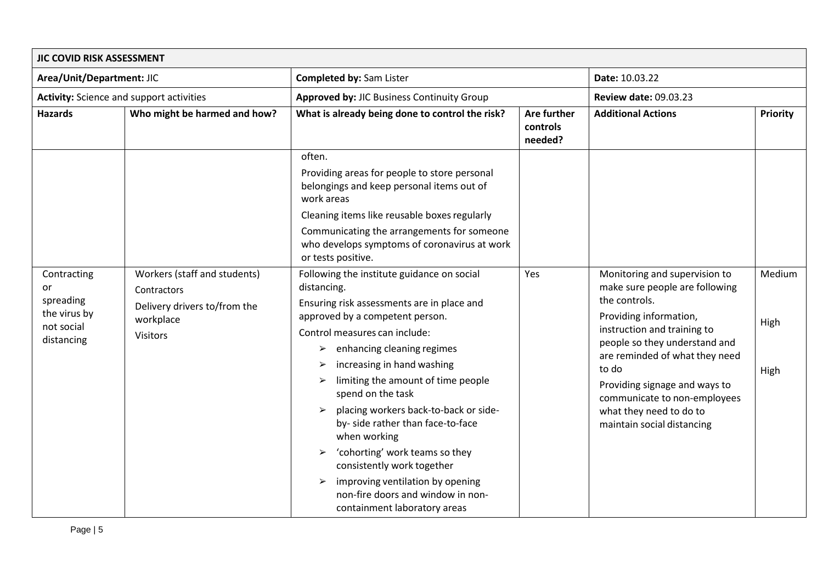| JIC COVID RISK ASSESSMENT                       |                                             |                                                                                                                                |                                           |                                                                                  |          |
|-------------------------------------------------|---------------------------------------------|--------------------------------------------------------------------------------------------------------------------------------|-------------------------------------------|----------------------------------------------------------------------------------|----------|
| Area/Unit/Department: JIC                       |                                             | <b>Completed by: Sam Lister</b>                                                                                                |                                           | Date: 10.03.22                                                                   |          |
| <b>Activity:</b> Science and support activities |                                             | <b>Approved by: JIC Business Continuity Group</b>                                                                              |                                           | <b>Review date: 09.03.23</b>                                                     |          |
| <b>Hazards</b>                                  | Who might be harmed and how?                | What is already being done to control the risk?                                                                                | <b>Are further</b><br>controls<br>needed? | <b>Additional Actions</b>                                                        | Priority |
|                                                 |                                             | often.                                                                                                                         |                                           |                                                                                  |          |
|                                                 |                                             | Providing areas for people to store personal<br>belongings and keep personal items out of<br>work areas                        |                                           |                                                                                  |          |
|                                                 |                                             | Cleaning items like reusable boxes regularly                                                                                   |                                           |                                                                                  |          |
|                                                 |                                             | Communicating the arrangements for someone<br>who develops symptoms of coronavirus at work<br>or tests positive.               |                                           |                                                                                  |          |
| Contracting<br>or<br>spreading                  | Workers (staff and students)<br>Contractors | Following the institute guidance on social<br>distancing.<br>Ensuring risk assessments are in place and                        | Yes                                       | Monitoring and supervision to<br>make sure people are following<br>the controls. | Medium   |
| the virus by                                    | Delivery drivers to/from the<br>workplace   | approved by a competent person.                                                                                                |                                           | Providing information,                                                           |          |
| not social<br>distancing                        | Visitors                                    | Control measures can include:                                                                                                  |                                           | instruction and training to                                                      | High     |
|                                                 |                                             | enhancing cleaning regimes<br>➤                                                                                                |                                           | people so they understand and<br>are reminded of what they need                  |          |
|                                                 |                                             | increasing in hand washing<br>➤                                                                                                |                                           | to do                                                                            | High     |
|                                                 |                                             | limiting the amount of time people<br>➤<br>spend on the task                                                                   |                                           | Providing signage and ways to<br>communicate to non-employees                    |          |
|                                                 |                                             | placing workers back-to-back or side-<br>$\blacktriangleright$<br>by- side rather than face-to-face<br>when working            |                                           | what they need to do to<br>maintain social distancing                            |          |
|                                                 |                                             | 'cohorting' work teams so they<br>consistently work together                                                                   |                                           |                                                                                  |          |
|                                                 |                                             | improving ventilation by opening<br>$\blacktriangleright$<br>non-fire doors and window in non-<br>containment laboratory areas |                                           |                                                                                  |          |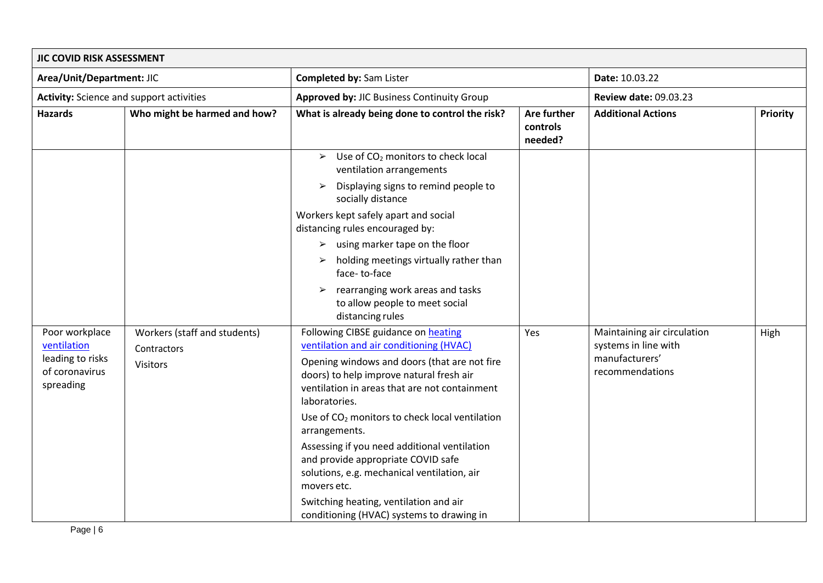| JIC COVID RISK ASSESSMENT                                                        |                                                                |                                                                                                                                                                                                                                                                                                                                                                                                                                                                                                                                                                        |                                    |                                                                                          |          |
|----------------------------------------------------------------------------------|----------------------------------------------------------------|------------------------------------------------------------------------------------------------------------------------------------------------------------------------------------------------------------------------------------------------------------------------------------------------------------------------------------------------------------------------------------------------------------------------------------------------------------------------------------------------------------------------------------------------------------------------|------------------------------------|------------------------------------------------------------------------------------------|----------|
| Area/Unit/Department: JIC                                                        |                                                                | <b>Completed by: Sam Lister</b>                                                                                                                                                                                                                                                                                                                                                                                                                                                                                                                                        |                                    | Date: 10.03.22                                                                           |          |
| <b>Activity:</b> Science and support activities                                  |                                                                | <b>Approved by: JIC Business Continuity Group</b>                                                                                                                                                                                                                                                                                                                                                                                                                                                                                                                      |                                    | <b>Review date: 09.03.23</b>                                                             |          |
| <b>Hazards</b>                                                                   | Who might be harmed and how?                                   | What is already being done to control the risk?                                                                                                                                                                                                                                                                                                                                                                                                                                                                                                                        | Are further<br>controls<br>needed? | <b>Additional Actions</b>                                                                | Priority |
|                                                                                  |                                                                | Use of CO <sub>2</sub> monitors to check local<br>$\blacktriangleright$<br>ventilation arrangements                                                                                                                                                                                                                                                                                                                                                                                                                                                                    |                                    |                                                                                          |          |
|                                                                                  |                                                                | Displaying signs to remind people to<br>➤<br>socially distance                                                                                                                                                                                                                                                                                                                                                                                                                                                                                                         |                                    |                                                                                          |          |
|                                                                                  |                                                                | Workers kept safely apart and social<br>distancing rules encouraged by:                                                                                                                                                                                                                                                                                                                                                                                                                                                                                                |                                    |                                                                                          |          |
|                                                                                  |                                                                | $\triangleright$ using marker tape on the floor                                                                                                                                                                                                                                                                                                                                                                                                                                                                                                                        |                                    |                                                                                          |          |
|                                                                                  |                                                                | holding meetings virtually rather than<br>face-to-face                                                                                                                                                                                                                                                                                                                                                                                                                                                                                                                 |                                    |                                                                                          |          |
|                                                                                  |                                                                | rearranging work areas and tasks<br>➤<br>to allow people to meet social<br>distancing rules                                                                                                                                                                                                                                                                                                                                                                                                                                                                            |                                    |                                                                                          |          |
| Poor workplace<br>ventilation<br>leading to risks<br>of coronavirus<br>spreading | Workers (staff and students)<br>Contractors<br><b>Visitors</b> | Following CIBSE guidance on heating<br>ventilation and air conditioning (HVAC)<br>Opening windows and doors (that are not fire<br>doors) to help improve natural fresh air<br>ventilation in areas that are not containment<br>laboratories.<br>Use of CO <sub>2</sub> monitors to check local ventilation<br>arrangements.<br>Assessing if you need additional ventilation<br>and provide appropriate COVID safe<br>solutions, e.g. mechanical ventilation, air<br>movers etc.<br>Switching heating, ventilation and air<br>conditioning (HVAC) systems to drawing in | Yes                                | Maintaining air circulation<br>systems in line with<br>manufacturers'<br>recommendations | High     |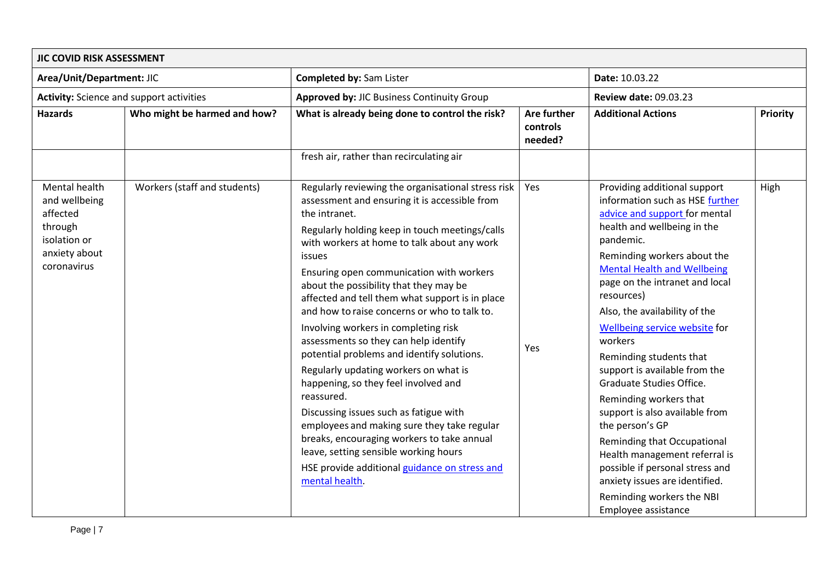| <b>Completed by: Sam Lister</b><br>Area/Unit/Department: JIC<br><b>Activity:</b> Science and support activities<br><b>Approved by: JIC Business Continuity Group</b>                                                                                                                                                                                                                                                                                                                                                                                                                                                                                                                                                                                                                                                                                                                                                                                                                                                                                             | Date: 10.03.22<br><b>Review date: 09.03.23</b><br><b>Additional Actions</b>                                                                                                                                                                                                                                                                                                                                                                                                                                                                                                                                                                                                                                    |          |
|------------------------------------------------------------------------------------------------------------------------------------------------------------------------------------------------------------------------------------------------------------------------------------------------------------------------------------------------------------------------------------------------------------------------------------------------------------------------------------------------------------------------------------------------------------------------------------------------------------------------------------------------------------------------------------------------------------------------------------------------------------------------------------------------------------------------------------------------------------------------------------------------------------------------------------------------------------------------------------------------------------------------------------------------------------------|----------------------------------------------------------------------------------------------------------------------------------------------------------------------------------------------------------------------------------------------------------------------------------------------------------------------------------------------------------------------------------------------------------------------------------------------------------------------------------------------------------------------------------------------------------------------------------------------------------------------------------------------------------------------------------------------------------------|----------|
|                                                                                                                                                                                                                                                                                                                                                                                                                                                                                                                                                                                                                                                                                                                                                                                                                                                                                                                                                                                                                                                                  |                                                                                                                                                                                                                                                                                                                                                                                                                                                                                                                                                                                                                                                                                                                |          |
|                                                                                                                                                                                                                                                                                                                                                                                                                                                                                                                                                                                                                                                                                                                                                                                                                                                                                                                                                                                                                                                                  |                                                                                                                                                                                                                                                                                                                                                                                                                                                                                                                                                                                                                                                                                                                |          |
| <b>Hazards</b><br>Who might be harmed and how?<br>What is already being done to control the risk?<br>Are further<br>controls<br>needed?                                                                                                                                                                                                                                                                                                                                                                                                                                                                                                                                                                                                                                                                                                                                                                                                                                                                                                                          |                                                                                                                                                                                                                                                                                                                                                                                                                                                                                                                                                                                                                                                                                                                | Priority |
| fresh air, rather than recirculating air                                                                                                                                                                                                                                                                                                                                                                                                                                                                                                                                                                                                                                                                                                                                                                                                                                                                                                                                                                                                                         |                                                                                                                                                                                                                                                                                                                                                                                                                                                                                                                                                                                                                                                                                                                |          |
| Mental health<br>Workers (staff and students)<br>Regularly reviewing the organisational stress risk<br>Yes<br>and wellbeing<br>assessment and ensuring it is accessible from<br>affected<br>the intranet.<br>through<br>Regularly holding keep in touch meetings/calls<br>isolation or<br>with workers at home to talk about any work<br>anxiety about<br>issues<br>coronavirus<br>Ensuring open communication with workers<br>about the possibility that they may be<br>affected and tell them what support is in place<br>and how to raise concerns or who to talk to.<br>Involving workers in completing risk<br>assessments so they can help identify<br>Yes<br>potential problems and identify solutions.<br>Regularly updating workers on what is<br>happening, so they feel involved and<br>reassured.<br>Discussing issues such as fatigue with<br>employees and making sure they take regular<br>breaks, encouraging workers to take annual<br>leave, setting sensible working hours<br>HSE provide additional guidance on stress and<br>mental health. | Providing additional support<br>information such as HSE further<br>advice and support for mental<br>health and wellbeing in the<br>pandemic.<br>Reminding workers about the<br><b>Mental Health and Wellbeing</b><br>page on the intranet and local<br>resources)<br>Also, the availability of the<br>Wellbeing service website for<br>workers<br>Reminding students that<br>support is available from the<br>Graduate Studies Office.<br>Reminding workers that<br>support is also available from<br>the person's GP<br>Reminding that Occupational<br>Health management referral is<br>possible if personal stress and<br>anxiety issues are identified.<br>Reminding workers the NBI<br>Employee assistance | High     |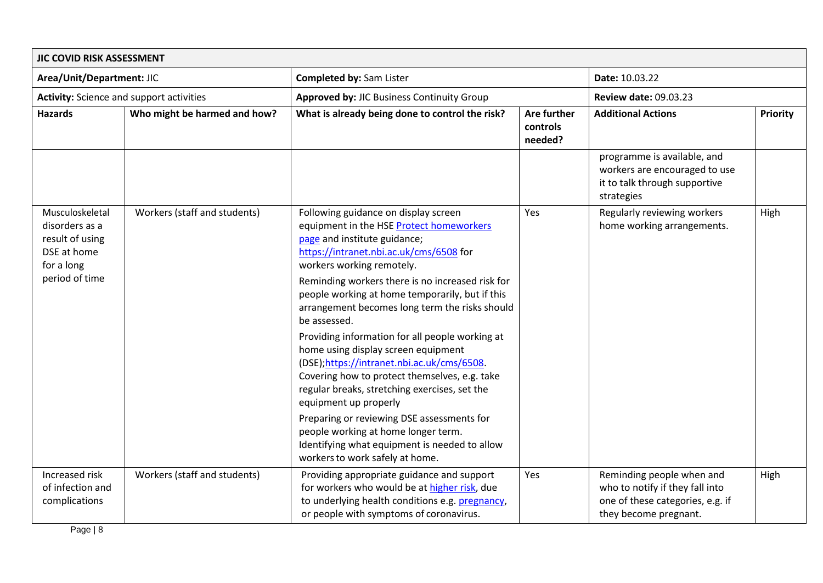| JIC COVID RISK ASSESSMENT                                                                           |                              |                                                                                                                                                                                                                                                                                                                                                                                                                                                                                                                                                                                                                                                                                                                                                                                                                |                                    |                                                                                                                           |                 |
|-----------------------------------------------------------------------------------------------------|------------------------------|----------------------------------------------------------------------------------------------------------------------------------------------------------------------------------------------------------------------------------------------------------------------------------------------------------------------------------------------------------------------------------------------------------------------------------------------------------------------------------------------------------------------------------------------------------------------------------------------------------------------------------------------------------------------------------------------------------------------------------------------------------------------------------------------------------------|------------------------------------|---------------------------------------------------------------------------------------------------------------------------|-----------------|
| Area/Unit/Department: JIC                                                                           |                              | <b>Completed by: Sam Lister</b>                                                                                                                                                                                                                                                                                                                                                                                                                                                                                                                                                                                                                                                                                                                                                                                |                                    | Date: 10.03.22                                                                                                            |                 |
| <b>Activity:</b> Science and support activities                                                     |                              | Approved by: JIC Business Continuity Group                                                                                                                                                                                                                                                                                                                                                                                                                                                                                                                                                                                                                                                                                                                                                                     |                                    | <b>Review date: 09.03.23</b>                                                                                              |                 |
| <b>Hazards</b>                                                                                      | Who might be harmed and how? | What is already being done to control the risk?                                                                                                                                                                                                                                                                                                                                                                                                                                                                                                                                                                                                                                                                                                                                                                | Are further<br>controls<br>needed? | <b>Additional Actions</b>                                                                                                 | <b>Priority</b> |
|                                                                                                     |                              |                                                                                                                                                                                                                                                                                                                                                                                                                                                                                                                                                                                                                                                                                                                                                                                                                |                                    | programme is available, and<br>workers are encouraged to use<br>it to talk through supportive<br>strategies               |                 |
| Musculoskeletal<br>disorders as a<br>result of using<br>DSE at home<br>for a long<br>period of time | Workers (staff and students) | Following guidance on display screen<br>equipment in the HSE Protect homeworkers<br>page and institute guidance;<br>https://intranet.nbi.ac.uk/cms/6508 for<br>workers working remotely.<br>Reminding workers there is no increased risk for<br>people working at home temporarily, but if this<br>arrangement becomes long term the risks should<br>be assessed.<br>Providing information for all people working at<br>home using display screen equipment<br>(DSE); https://intranet.nbi.ac.uk/cms/6508.<br>Covering how to protect themselves, e.g. take<br>regular breaks, stretching exercises, set the<br>equipment up properly<br>Preparing or reviewing DSE assessments for<br>people working at home longer term.<br>Identifying what equipment is needed to allow<br>workers to work safely at home. | Yes                                | Regularly reviewing workers<br>home working arrangements.                                                                 | High            |
| Increased risk<br>of infection and<br>complications                                                 | Workers (staff and students) | Providing appropriate guidance and support<br>for workers who would be at higher risk, due<br>to underlying health conditions e.g. pregnancy,<br>or people with symptoms of coronavirus.                                                                                                                                                                                                                                                                                                                                                                                                                                                                                                                                                                                                                       | Yes                                | Reminding people when and<br>who to notify if they fall into<br>one of these categories, e.g. if<br>they become pregnant. | High            |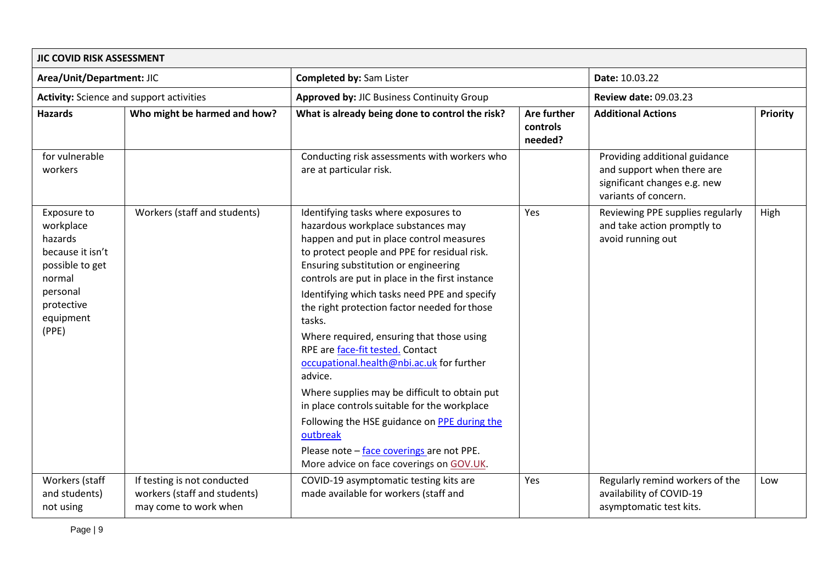| JIC COVID RISK ASSESSMENT                                                                                                            |                                                                                      |                                                                                                                                                                                                                                                                                                                                                                                                                                                                                                                                                                                                                                                                                                                                                                            |                                    |                                                                                                                     |          |
|--------------------------------------------------------------------------------------------------------------------------------------|--------------------------------------------------------------------------------------|----------------------------------------------------------------------------------------------------------------------------------------------------------------------------------------------------------------------------------------------------------------------------------------------------------------------------------------------------------------------------------------------------------------------------------------------------------------------------------------------------------------------------------------------------------------------------------------------------------------------------------------------------------------------------------------------------------------------------------------------------------------------------|------------------------------------|---------------------------------------------------------------------------------------------------------------------|----------|
| Area/Unit/Department: JIC                                                                                                            |                                                                                      | <b>Completed by: Sam Lister</b>                                                                                                                                                                                                                                                                                                                                                                                                                                                                                                                                                                                                                                                                                                                                            |                                    | Date: 10.03.22                                                                                                      |          |
| <b>Activity:</b> Science and support activities                                                                                      |                                                                                      | Approved by: JIC Business Continuity Group                                                                                                                                                                                                                                                                                                                                                                                                                                                                                                                                                                                                                                                                                                                                 |                                    | <b>Review date: 09.03.23</b>                                                                                        |          |
| <b>Hazards</b>                                                                                                                       | Who might be harmed and how?                                                         | What is already being done to control the risk?                                                                                                                                                                                                                                                                                                                                                                                                                                                                                                                                                                                                                                                                                                                            | Are further<br>controls<br>needed? | <b>Additional Actions</b>                                                                                           | Priority |
| for vulnerable<br>workers                                                                                                            |                                                                                      | Conducting risk assessments with workers who<br>are at particular risk.                                                                                                                                                                                                                                                                                                                                                                                                                                                                                                                                                                                                                                                                                                    |                                    | Providing additional guidance<br>and support when there are<br>significant changes e.g. new<br>variants of concern. |          |
| Exposure to<br>workplace<br>hazards<br>because it isn't<br>possible to get<br>normal<br>personal<br>protective<br>equipment<br>(PPE) | Workers (staff and students)                                                         | Identifying tasks where exposures to<br>hazardous workplace substances may<br>happen and put in place control measures<br>to protect people and PPE for residual risk.<br>Ensuring substitution or engineering<br>controls are put in place in the first instance<br>Identifying which tasks need PPE and specify<br>the right protection factor needed for those<br>tasks.<br>Where required, ensuring that those using<br>RPE are face-fit tested. Contact<br>occupational.health@nbi.ac.uk for further<br>advice.<br>Where supplies may be difficult to obtain put<br>in place controls suitable for the workplace<br>Following the HSE guidance on PPE during the<br>outbreak<br>Please note - face coverings are not PPE.<br>More advice on face coverings on GOV.UK. | Yes                                | Reviewing PPE supplies regularly<br>and take action promptly to<br>avoid running out                                | High     |
| Workers (staff<br>and students)<br>not using                                                                                         | If testing is not conducted<br>workers (staff and students)<br>may come to work when | COVID-19 asymptomatic testing kits are<br>made available for workers (staff and                                                                                                                                                                                                                                                                                                                                                                                                                                                                                                                                                                                                                                                                                            | Yes                                | Regularly remind workers of the<br>availability of COVID-19<br>asymptomatic test kits.                              | Low      |